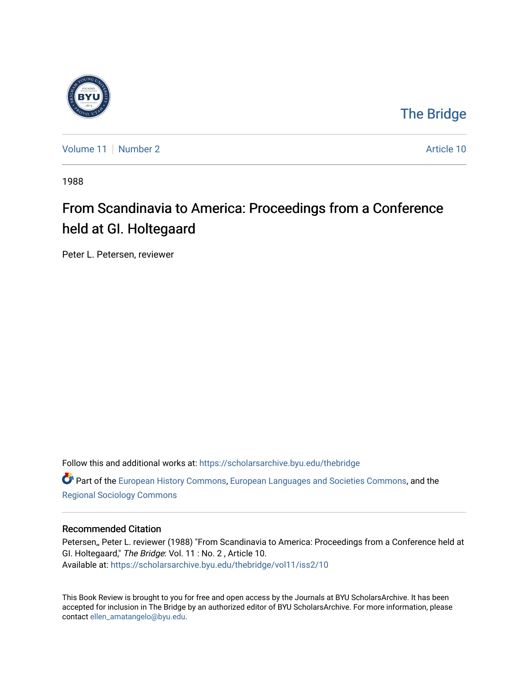

[The Bridge](https://scholarsarchive.byu.edu/thebridge) 

[Volume 11](https://scholarsarchive.byu.edu/thebridge/vol11) [Number 2](https://scholarsarchive.byu.edu/thebridge/vol11/iss2) Article 10

1988

## From Scandinavia to America: Proceedings from a Conference held at GI. Holtegaard

Peter L. Petersen, reviewer

Follow this and additional works at: [https://scholarsarchive.byu.edu/thebridge](https://scholarsarchive.byu.edu/thebridge?utm_source=scholarsarchive.byu.edu%2Fthebridge%2Fvol11%2Fiss2%2F10&utm_medium=PDF&utm_campaign=PDFCoverPages) 

**C** Part of the [European History Commons](http://network.bepress.com/hgg/discipline/492?utm_source=scholarsarchive.byu.edu%2Fthebridge%2Fvol11%2Fiss2%2F10&utm_medium=PDF&utm_campaign=PDFCoverPages), [European Languages and Societies Commons,](http://network.bepress.com/hgg/discipline/482?utm_source=scholarsarchive.byu.edu%2Fthebridge%2Fvol11%2Fiss2%2F10&utm_medium=PDF&utm_campaign=PDFCoverPages) and the [Regional Sociology Commons](http://network.bepress.com/hgg/discipline/427?utm_source=scholarsarchive.byu.edu%2Fthebridge%2Fvol11%2Fiss2%2F10&utm_medium=PDF&utm_campaign=PDFCoverPages) 

### Recommended Citation

Petersen,, Peter L. reviewer (1988) "From Scandinavia to America: Proceedings from a Conference held at GI. Holtegaard," The Bridge: Vol. 11 : No. 2 , Article 10. Available at: [https://scholarsarchive.byu.edu/thebridge/vol11/iss2/10](https://scholarsarchive.byu.edu/thebridge/vol11/iss2/10?utm_source=scholarsarchive.byu.edu%2Fthebridge%2Fvol11%2Fiss2%2F10&utm_medium=PDF&utm_campaign=PDFCoverPages)

This Book Review is brought to you for free and open access by the Journals at BYU ScholarsArchive. It has been accepted for inclusion in The Bridge by an authorized editor of BYU ScholarsArchive. For more information, please contact [ellen\\_amatangelo@byu.edu.](mailto:ellen_amatangelo@byu.edu)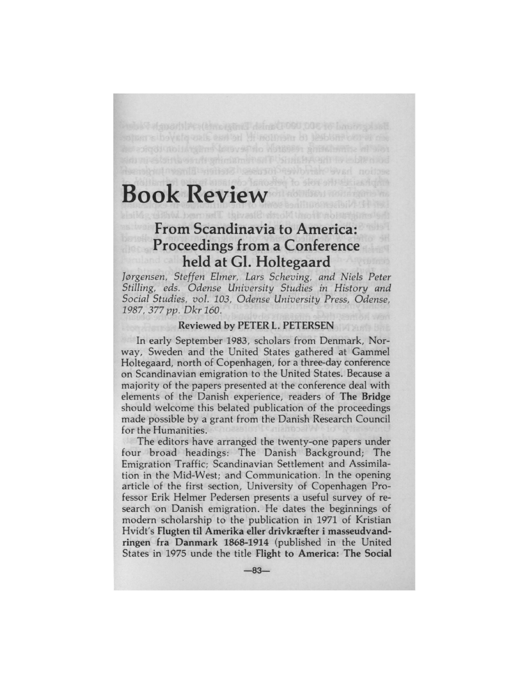# **Book Review**

## **From Scandinavia to America: Proceedings from a Conference held at GI. Holtegaard**

evet vals est an Hinchien of lesbon cores are

*J0rgensen, Steffen Elmer, Lars Scheving, and Niels Peter Stilling, eds. Odense University Studies in History and Social Studies, vol. 103, Odense University Press, Odense, 1987, 377* pp. *Dkr 160.* 

#### **Reviewed by PETER L. PETERSEN**

In early September 1983, scholars from Denmark, Norway, Sweden and the United States gathered at Gammel Holtegaard, north of Copenhagen, for a three-day conference on Scandinavian emigration to the United States. Because a majority of the papers presented at the conference deal with elements of the Danish experience, readers of **The Bridge**  should welcome this belated publication of the proceedings made possible by a grant from the Danish Research Council for the Humanities.

The editors have arranged the twenty-one papers under four broad headings: The Danish Background; The Emigration Traffic; Scandinavian Settlement and Assimilation in the Mid-West; and Communication. In the opening article of the first section, University of Copenhagen Professor Erik Helmer Pedersen presents a useful survey of research on Danish emigration. He dates the beginnings of modern scholarship to the publication in 1971 of Kristian Hvidt's **Flugten til Amerika eller drivknefter** i **masseudvandringen fra Danmark 1868-1914** (published in the United States in 1975 unde the title Flight to America: The Social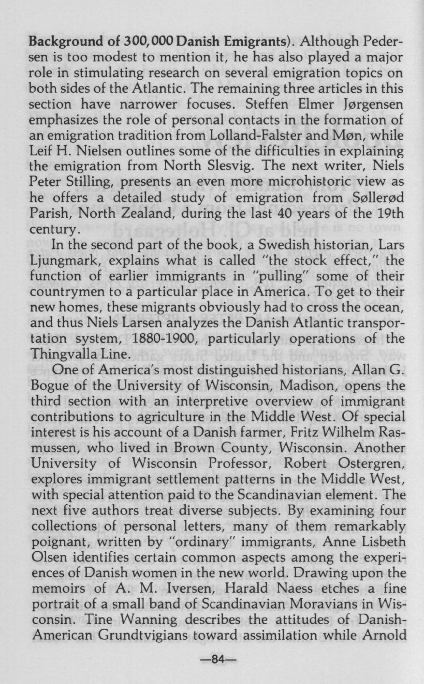**Background of 300,000 Danish Emigrants).** Although Pedersen is too modest to mention it, he has also played a major role in stimulating research on several emigration topics on both sides of the Atlantic. The remaining three articles in this section have narrower focuses. Steffen Elmer Jørgensen emphasizes the role of personal contacts in the formation of an emigration tradition from Lolland-Falster and Møn, while Leif H. Nielsen outlines some of the difficulties in explaining the emigration from North Slesvig. The next writer, Niels Peter Stilling, presents an even more microhistoric view as he offers a detailed study of emigration from Søllerød Parish, North Zealand, during the last 40 years of the 19th century.

In the second part of the book, a Swedish historian, Lars Ljungmark, explains what is called "the stock effect," the function of earlier immigrants in "pulling" some of their countrymen to a particular place in America. To get to their new homes, these migrants obviously had to cross the ocean, and thus Niels Larsen analyzes the Danish Atlantic transportation system, 1880-1900, particularly operations of the Thingvalla Line.

One of America's most distinguished historians, Allan G. Bogue of the University of Wisconsin, Madison, opens the third section with an interpretive overview of immigrant contributions to agriculture in the Middle West. Of special interest is his account of a Danish farmer, Fritz Wilhelm Rasmussen, who lived in Brown County, Wisconsin. Another University of Wisconsin Professor, Robert Ostergren, explores immigrant settlement patterns in the Middle West, with special attention paid to the Scandinavian element. The next five authors treat diverse subjects. By examining four collections of personal letters, many of them remarkably poignant, written by "ordinary" immigrants, Anne Lisbeth Olsen identifies certain common aspects among the experiences of Danish women in the new world. Drawing upon the memoirs of A. M. Iversen, Harald Naess etches a fine portrait of a small band of Scandinavian Moravians in Wisconsin. Tine Wanning describes the attitudes of Danish-American Grundtvigians toward assimilation while Arnold